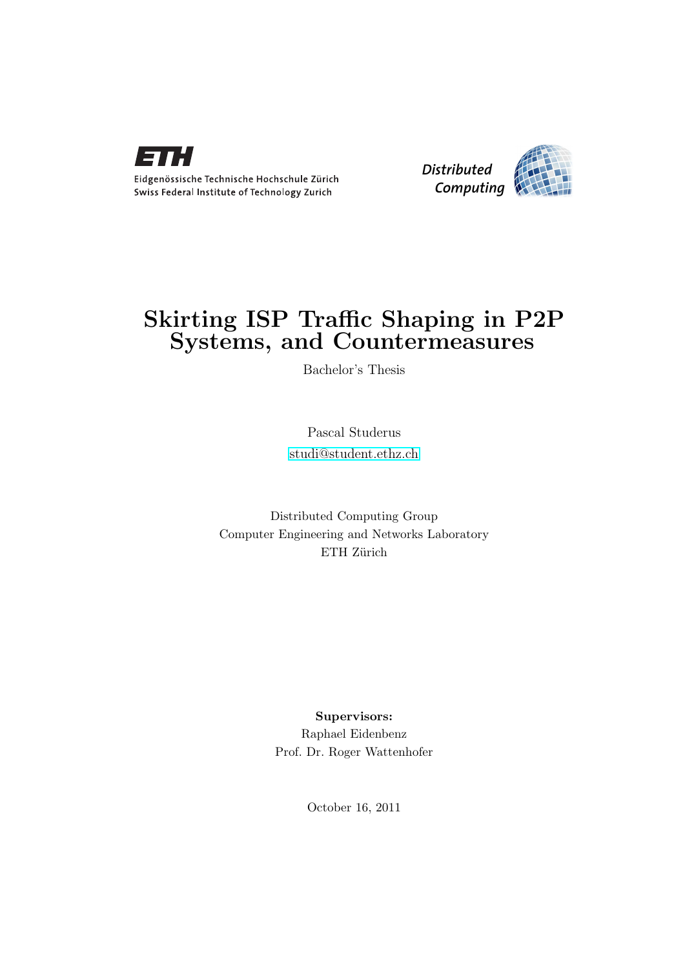



## Skirting ISP Traffic Shaping in P2P Systems, and Countermeasures

Bachelor's Thesis

Pascal Studerus [studi@student.ethz.ch](mailto:Pascal Studerus<studi@student.ethz.ch>)

Distributed Computing Group Computer Engineering and Networks Laboratory ETH Zürich

> Supervisors: Raphael Eidenbenz Prof. Dr. Roger Wattenhofer

> > October 16, 2011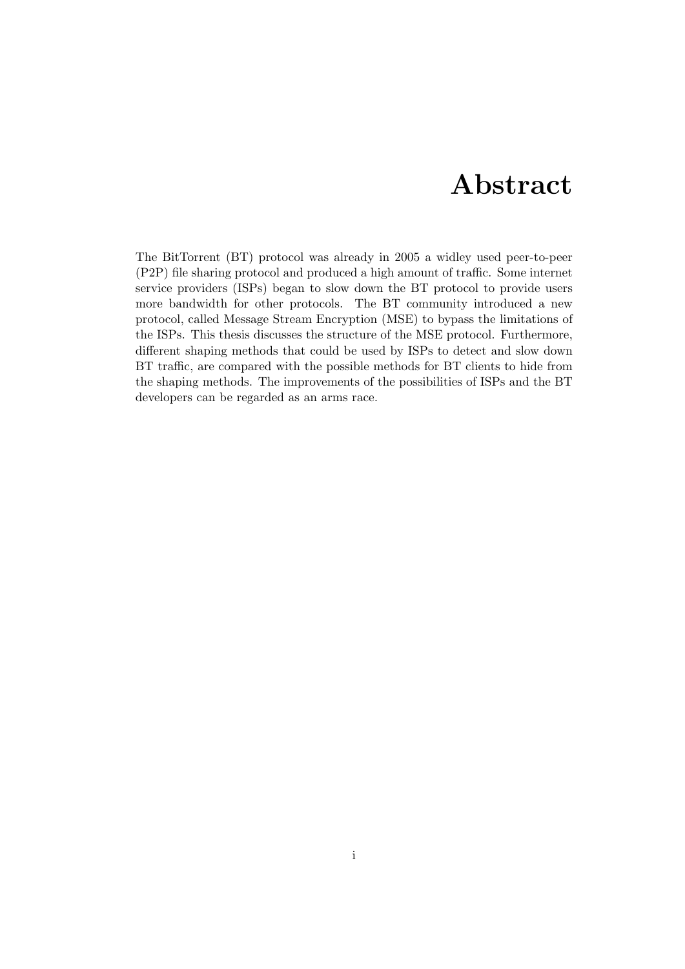## Abstract

<span id="page-1-0"></span>The BitTorrent (BT) protocol was already in 2005 a widley used peer-to-peer (P2P) file sharing protocol and produced a high amount of traffic. Some internet service providers (ISPs) began to slow down the BT protocol to provide users more bandwidth for other protocols. The BT community introduced a new protocol, called Message Stream Encryption (MSE) to bypass the limitations of the ISPs. This thesis discusses the structure of the MSE protocol. Furthermore, different shaping methods that could be used by ISPs to detect and slow down BT traffic, are compared with the possible methods for BT clients to hide from the shaping methods. The improvements of the possibilities of ISPs and the BT developers can be regarded as an arms race.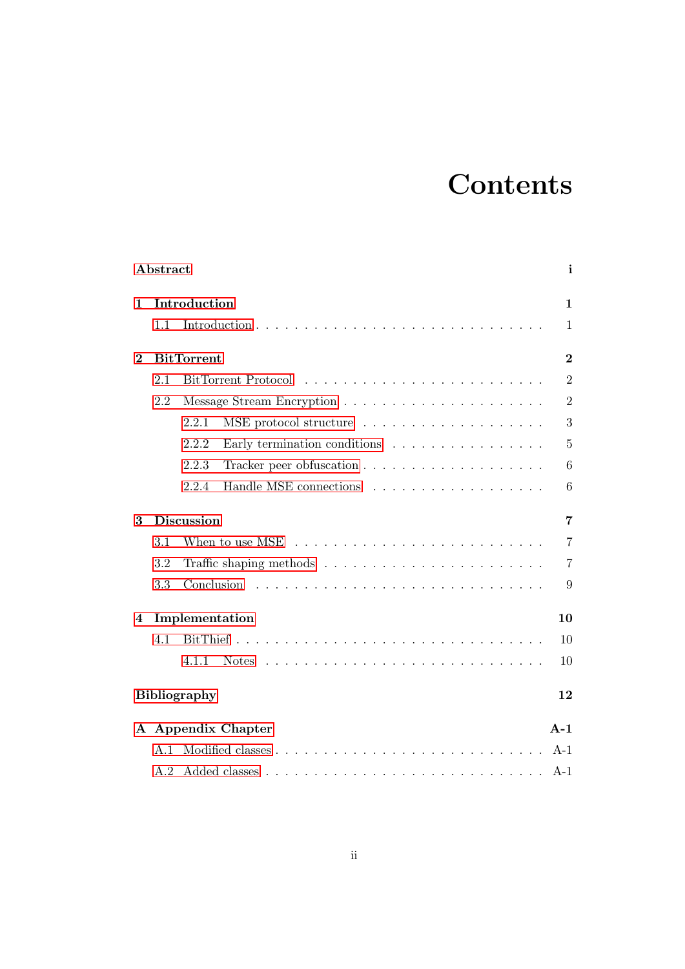# **Contents**

| Abstract<br>$\mathbf{i}$ |                   |                                                                            |                |  |
|--------------------------|-------------------|----------------------------------------------------------------------------|----------------|--|
| 1                        |                   | Introduction                                                               | $\mathbf{1}$   |  |
|                          | 1.1               |                                                                            | 1              |  |
| $\bf{2}$                 | <b>BitTorrent</b> |                                                                            |                |  |
|                          | 2.1               |                                                                            | $\overline{2}$ |  |
|                          | 2.2               |                                                                            | $\overline{2}$ |  |
|                          |                   | 2.2.1                                                                      | 3              |  |
|                          |                   | 2.2.2<br>Early termination conditions $\ldots \ldots \ldots \ldots \ldots$ | 5              |  |
|                          |                   | 2.2.3                                                                      | 6              |  |
|                          |                   | 2.2.4                                                                      | 6              |  |
| <b>Discussion</b><br>3   |                   |                                                                            | $\overline{7}$ |  |
|                          | 3.1               |                                                                            | $\overline{7}$ |  |
|                          | 3.2               |                                                                            | $\overline{7}$ |  |
|                          | 3.3               |                                                                            | 9              |  |
| 4                        | Implementation    |                                                                            |                |  |
|                          | 4.1               |                                                                            | 10             |  |
|                          |                   | 4.1.1                                                                      | 10             |  |
|                          |                   | <b>Bibliography</b>                                                        | 12             |  |
|                          |                   | A Appendix Chapter                                                         | $A-1$          |  |
|                          | A.1               |                                                                            | $A-1$          |  |
|                          | A.2               |                                                                            | $A-1$          |  |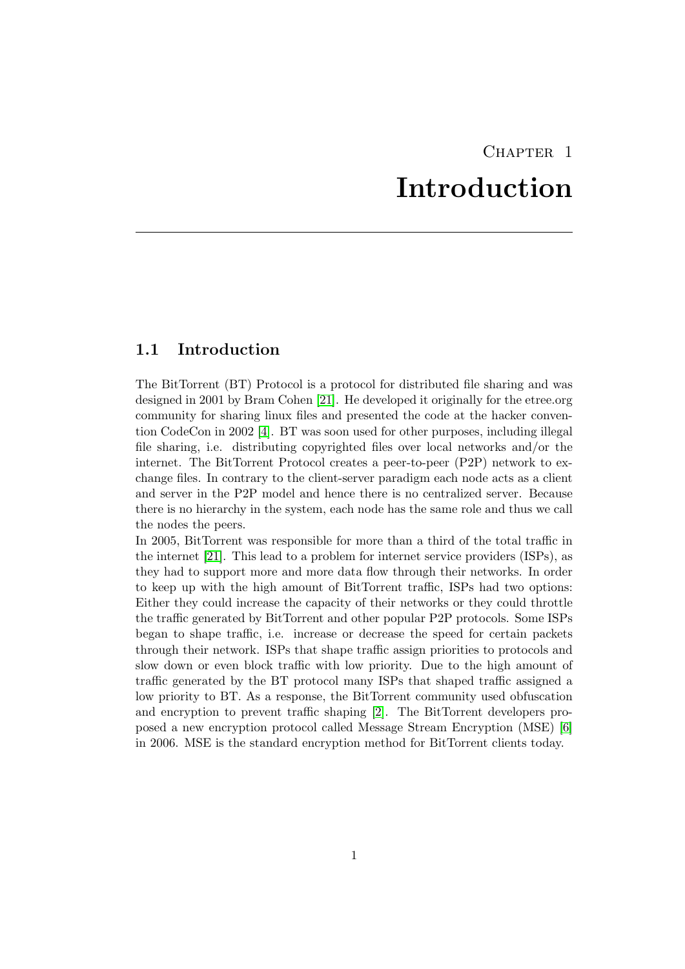## CHAPTER<sub>1</sub> Introduction

### <span id="page-3-1"></span><span id="page-3-0"></span>1.1 Introduction

The BitTorrent (BT) Protocol is a protocol for distributed file sharing and was designed in 2001 by Bram Cohen [\[21\]](#page-15-0). He developed it originally for the etree.org community for sharing linux files and presented the code at the hacker convention CodeCon in 2002 [\[4\]](#page-14-1). BT was soon used for other purposes, including illegal file sharing, i.e. distributing copyrighted files over local networks and/or the internet. The BitTorrent Protocol creates a peer-to-peer (P2P) network to exchange files. In contrary to the client-server paradigm each node acts as a client and server in the P2P model and hence there is no centralized server. Because there is no hierarchy in the system, each node has the same role and thus we call the nodes the peers.

In 2005, BitTorrent was responsible for more than a third of the total traffic in the internet [\[21\]](#page-15-0). This lead to a problem for internet service providers (ISPs), as they had to support more and more data flow through their networks. In order to keep up with the high amount of BitTorrent traffic, ISPs had two options: Either they could increase the capacity of their networks or they could throttle the traffic generated by BitTorrent and other popular P2P protocols. Some ISPs began to shape traffic, i.e. increase or decrease the speed for certain packets through their network. ISPs that shape traffic assign priorities to protocols and slow down or even block traffic with low priority. Due to the high amount of traffic generated by the BT protocol many ISPs that shaped traffic assigned a low priority to BT. As a response, the BitTorrent community used obfuscation and encryption to prevent traffic shaping [\[2\]](#page-14-2). The BitTorrent developers proposed a new encryption protocol called Message Stream Encryption (MSE) [\[6\]](#page-14-3) in 2006. MSE is the standard encryption method for BitTorrent clients today.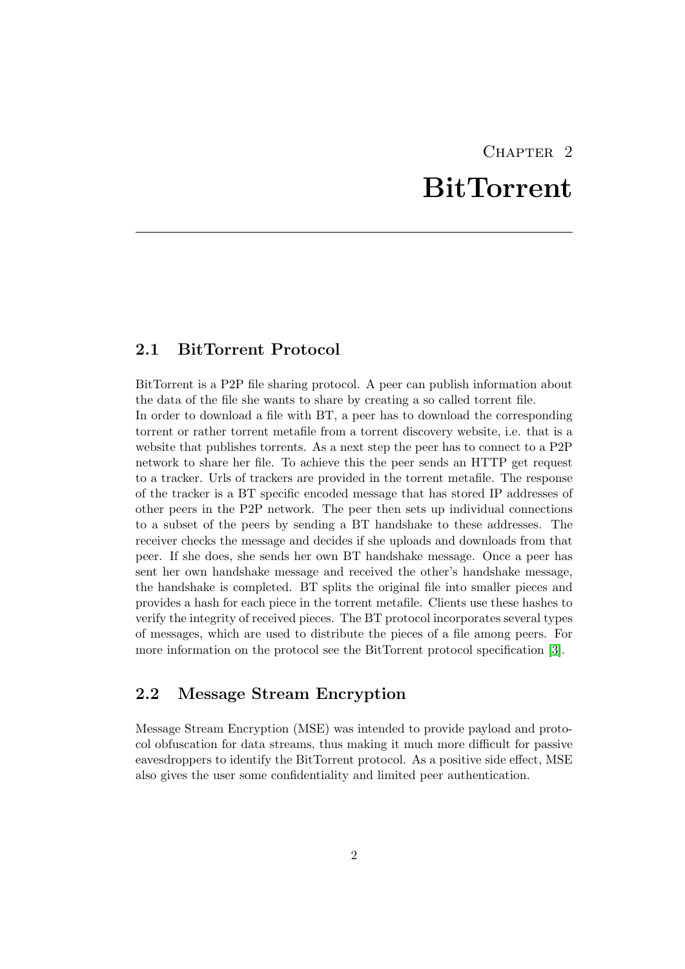# CHAPTER<sub>2</sub> **BitTorrent**

### <span id="page-4-1"></span><span id="page-4-0"></span>2.1 BitTorrent Protocol

BitTorrent is a P2P file sharing protocol. A peer can publish information about the data of the file she wants to share by creating a so called torrent file. In order to download a file with BT, a peer has to download the corresponding torrent or rather torrent metafile from a torrent discovery website, i.e. that is a website that publishes torrents. As a next step the peer has to connect to a P2P network to share her file. To achieve this the peer sends an HTTP get request to a tracker. Urls of trackers are provided in the torrent metafile. The response of the tracker is a BT specific encoded message that has stored IP addresses of other peers in the P2P network. The peer then sets up individual connections to a subset of the peers by sending a BT handshake to these addresses. The receiver checks the message and decides if she uploads and downloads from that peer. If she does, she sends her own BT handshake message. Once a peer has sent her own handshake message and received the other's handshake message, the handshake is completed. BT splits the original file into smaller pieces and provides a hash for each piece in the torrent metafile. Clients use these hashes to verify the integrity of received pieces. The BT protocol incorporates several types of messages, which are used to distribute the pieces of a file among peers. For more information on the protocol see the BitTorrent protocol specification [\[3\]](#page-14-4).

## <span id="page-4-2"></span>2.2 Message Stream Encryption

Message Stream Encryption (MSE) was intended to provide payload and protocol obfuscation for data streams, thus making it much more difficult for passive eavesdroppers to identify the BitTorrent protocol. As a positive side effect, MSE also gives the user some confidentiality and limited peer authentication.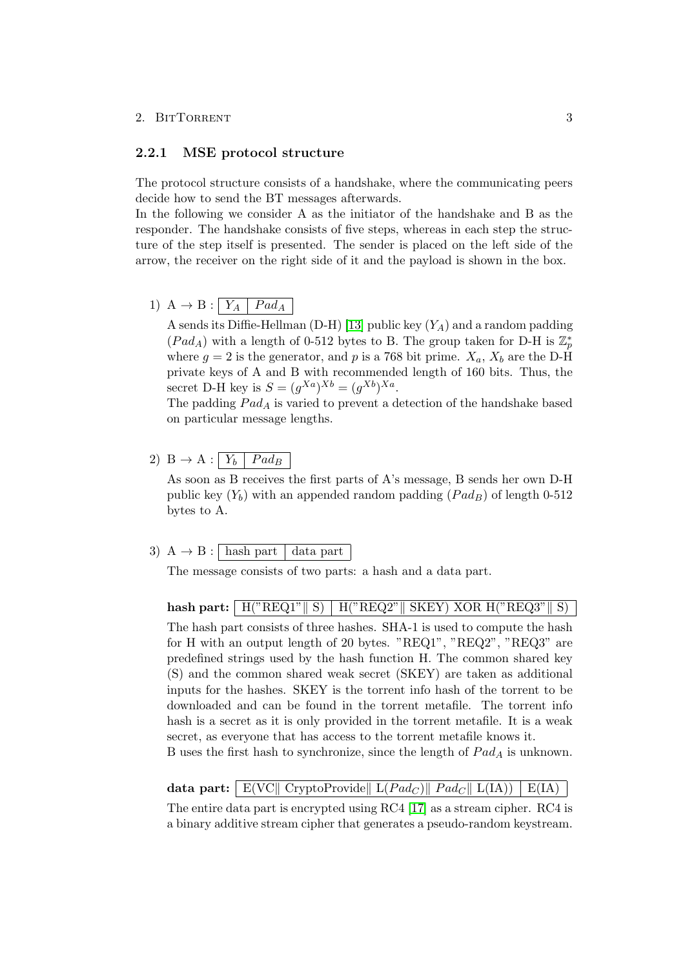#### <span id="page-5-0"></span>2.2.1 MSE protocol structure

The protocol structure consists of a handshake, where the communicating peers decide how to send the BT messages afterwards.

In the following we consider A as the initiator of the handshake and B as the responder. The handshake consists of five steps, whereas in each step the structure of the step itself is presented. The sender is placed on the left side of the arrow, the receiver on the right side of it and the payload is shown in the box.

1) A  $\rightarrow$  B :  $Y_A$  |  $Pad_A$ 

A sends its Diffie-Hellman (D-H) [\[13\]](#page-14-5) public key  $(Y_A)$  and a random padding  $(Pad_A)$  with a length of 0-512 bytes to B. The group taken for D-H is  $\mathbb{Z}_p^*$ where  $g = 2$  is the generator, and p is a 768 bit prime.  $X_a$ ,  $X_b$  are the D-H private keys of A and B with recommended length of 160 bits. Thus, the secret D-H key is  $S = (g^{Xa})^{Xb} = (g^{Xb})^{Xa}$ .

The padding  $Pad_A$  is varied to prevent a detection of the handshake based on particular message lengths.

2) B  $\rightarrow$  A :  $\boxed{Y_b \mid Pad_B}$ 

As soon as B receives the first parts of A's message, B sends her own D-H public key  $(Y_b)$  with an appended random padding  $(Pad_B)$  of length 0-512 bytes to A.

### 3)  $A \rightarrow B : \sqrt{\text{hash part}} \ \text{data part}$

The message consists of two parts: a hash and a data part.

hash part:  $\|H("REQ1" \| S) \| H("REQ2" \| SKEY) XOR H("REQ3" \| S)$ 

The hash part consists of three hashes. SHA-1 is used to compute the hash for H with an output length of 20 bytes. "REQ1", "REQ2", "REQ3" are predefined strings used by the hash function H. The common shared key (S) and the common shared weak secret (SKEY) are taken as additional inputs for the hashes. SKEY is the torrent info hash of the torrent to be downloaded and can be found in the torrent metafile. The torrent info hash is a secret as it is only provided in the torrent metafile. It is a weak secret, as everyone that has access to the torrent metafile knows it.

B uses the first hash to synchronize, since the length of  $Pad_A$  is unknown.

#### data part: E(VC|| CryptoProvide||  $L(Pad_C)$ ||  $Pad_C$ ||  $L(IA)$ ) |  $E(IA)$

The entire data part is encrypted using RC4 [\[17\]](#page-15-1) as a stream cipher. RC4 is a binary additive stream cipher that generates a pseudo-random keystream.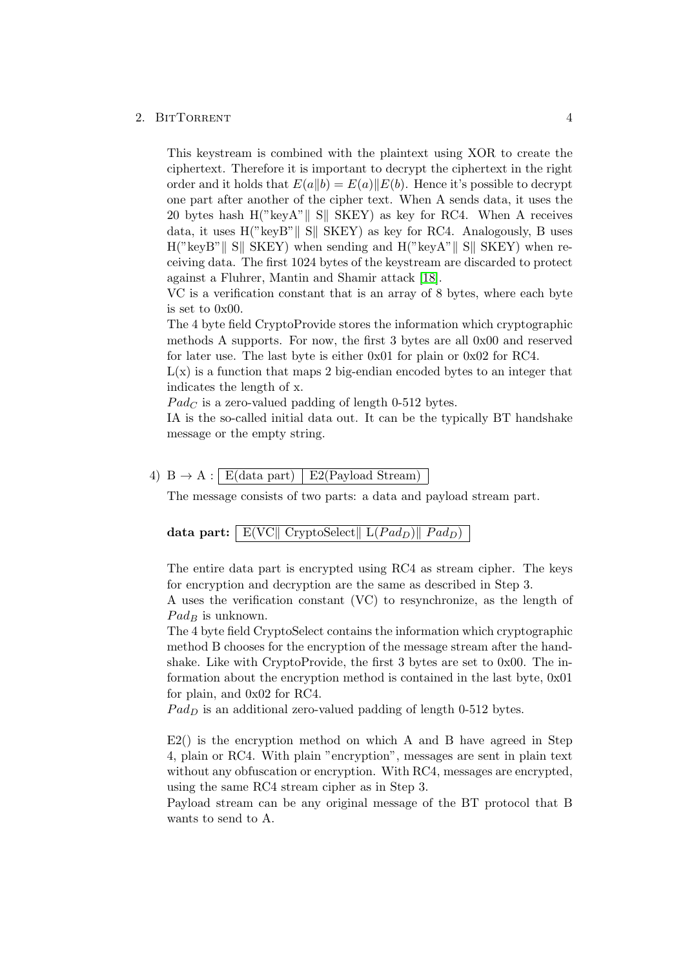#### 2. BITTORRENT 4

This keystream is combined with the plaintext using XOR to create the ciphertext. Therefore it is important to decrypt the ciphertext in the right order and it holds that  $E(a||b) = E(a)||E(b)$ . Hence it's possible to decrypt one part after another of the cipher text. When A sends data, it uses the 20 bytes hash  $H("keyA"|| S|| SKEY)$  as key for RC4. When A receives data, it uses  $H("keyB"|| S|| SKEY)$  as key for RC4. Analogously, B uses  $H("keyB" || S||$  SKEY) when sending and  $H("keyA" || S||$  SKEY) when receiving data. The first 1024 bytes of the keystream are discarded to protect against a Fluhrer, Mantin and Shamir attack [\[18\]](#page-15-2).

VC is a verification constant that is an array of 8 bytes, where each byte is set to 0x00.

The 4 byte field CryptoProvide stores the information which cryptographic methods A supports. For now, the first 3 bytes are all 0x00 and reserved for later use. The last byte is either 0x01 for plain or 0x02 for RC4.

 $L(x)$  is a function that maps 2 big-endian encoded bytes to an integer that indicates the length of x.

 $Pad_C$  is a zero-valued padding of length 0-512 bytes.

IA is the so-called initial data out. It can be the typically BT handshake message or the empty string.

#### 4) B  $\rightarrow$  A : E(data part) E2(Payload Stream)

The message consists of two parts: a data and payload stream part.

|  | data part:   $E(VC   CryptoSelect   L(Pad_D)    Pad_D)$ |
|--|---------------------------------------------------------|
|--|---------------------------------------------------------|

The entire data part is encrypted using RC4 as stream cipher. The keys for encryption and decryption are the same as described in Step 3.

A uses the verification constant (VC) to resynchronize, as the length of  $Pad_B$  is unknown.

The 4 byte field CryptoSelect contains the information which cryptographic method B chooses for the encryption of the message stream after the handshake. Like with CryptoProvide, the first 3 bytes are set to 0x00. The information about the encryption method is contained in the last byte, 0x01 for plain, and 0x02 for RC4.

 $Pad<sub>D</sub>$  is an additional zero-valued padding of length 0-512 bytes.

E2() is the encryption method on which A and B have agreed in Step 4, plain or RC4. With plain "encryption", messages are sent in plain text without any obfuscation or encryption. With RC4, messages are encrypted, using the same RC4 stream cipher as in Step 3.

Payload stream can be any original message of the BT protocol that B wants to send to A.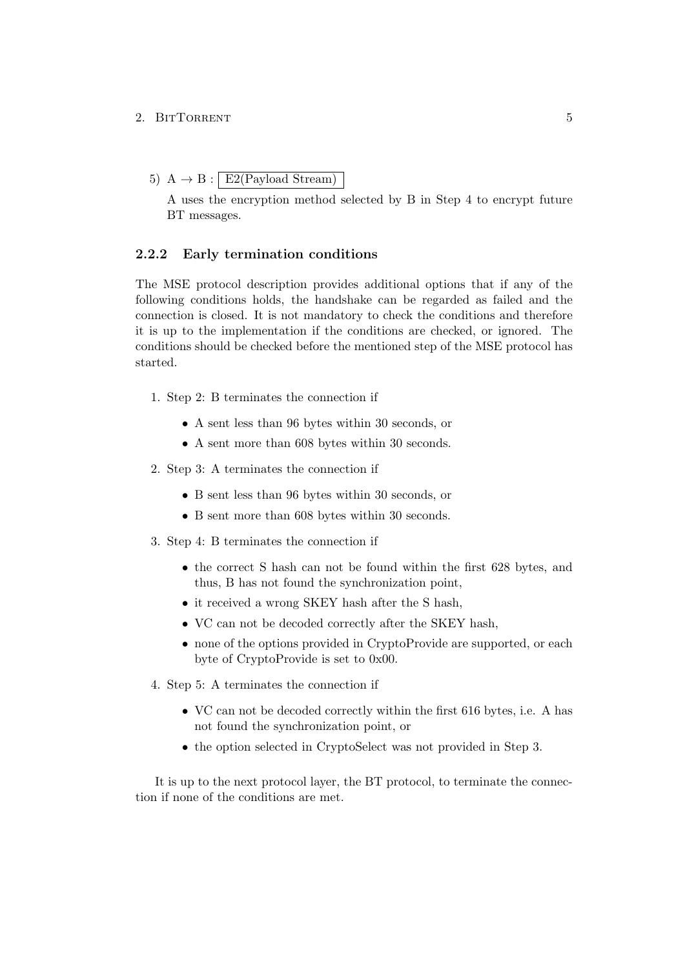5)  $A \rightarrow B : E2(Pavload Stream)$ 

A uses the encryption method selected by B in Step 4 to encrypt future BT messages.

#### <span id="page-7-0"></span>2.2.2 Early termination conditions

The MSE protocol description provides additional options that if any of the following conditions holds, the handshake can be regarded as failed and the connection is closed. It is not mandatory to check the conditions and therefore it is up to the implementation if the conditions are checked, or ignored. The conditions should be checked before the mentioned step of the MSE protocol has started.

- 1. Step 2: B terminates the connection if
	- A sent less than 96 bytes within 30 seconds, or
	- A sent more than 608 bytes within 30 seconds.
- 2. Step 3: A terminates the connection if
	- B sent less than 96 bytes within 30 seconds, or
	- B sent more than 608 bytes within 30 seconds.
- 3. Step 4: B terminates the connection if
	- the correct S hash can not be found within the first 628 bytes, and thus, B has not found the synchronization point,
	- it received a wrong SKEY hash after the S hash,
	- VC can not be decoded correctly after the SKEY hash,
	- none of the options provided in CryptoProvide are supported, or each byte of CryptoProvide is set to 0x00.
- 4. Step 5: A terminates the connection if
	- VC can not be decoded correctly within the first 616 bytes, i.e. A has not found the synchronization point, or
	- the option selected in CryptoSelect was not provided in Step 3.

It is up to the next protocol layer, the BT protocol, to terminate the connection if none of the conditions are met.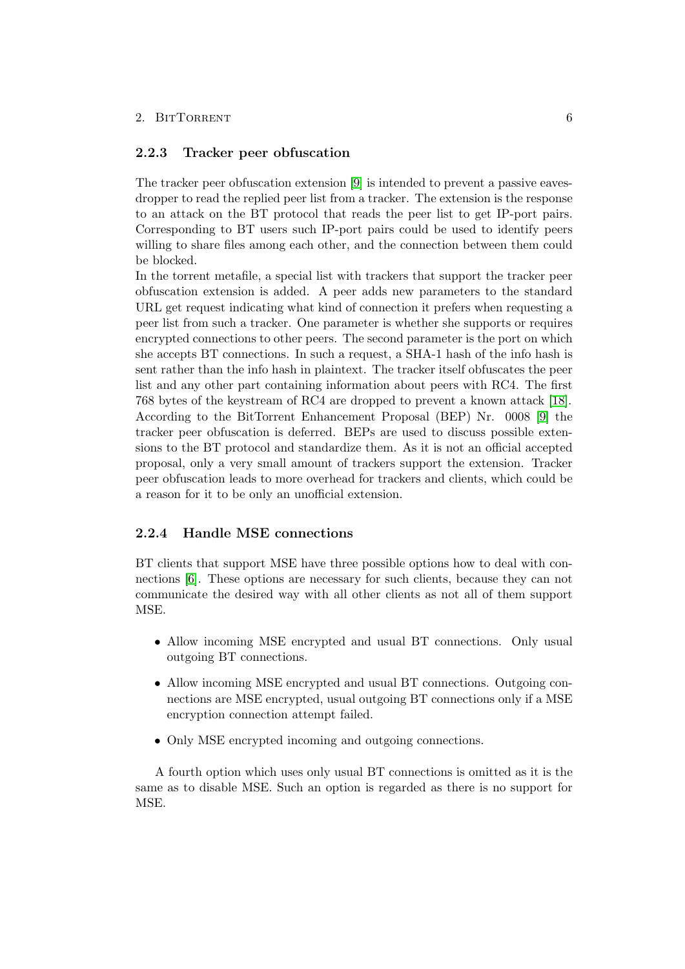#### <span id="page-8-0"></span>2.2.3 Tracker peer obfuscation

The tracker peer obfuscation extension [\[9\]](#page-14-6) is intended to prevent a passive eavesdropper to read the replied peer list from a tracker. The extension is the response to an attack on the BT protocol that reads the peer list to get IP-port pairs. Corresponding to BT users such IP-port pairs could be used to identify peers willing to share files among each other, and the connection between them could be blocked.

In the torrent metafile, a special list with trackers that support the tracker peer obfuscation extension is added. A peer adds new parameters to the standard URL get request indicating what kind of connection it prefers when requesting a peer list from such a tracker. One parameter is whether she supports or requires encrypted connections to other peers. The second parameter is the port on which she accepts BT connections. In such a request, a SHA-1 hash of the info hash is sent rather than the info hash in plaintext. The tracker itself obfuscates the peer list and any other part containing information about peers with RC4. The first 768 bytes of the keystream of RC4 are dropped to prevent a known attack [\[18\]](#page-15-2). According to the BitTorrent Enhancement Proposal (BEP) Nr. 0008 [\[9\]](#page-14-6) the tracker peer obfuscation is deferred. BEPs are used to discuss possible extensions to the BT protocol and standardize them. As it is not an official accepted proposal, only a very small amount of trackers support the extension. Tracker peer obfuscation leads to more overhead for trackers and clients, which could be a reason for it to be only an unofficial extension.

#### <span id="page-8-1"></span>2.2.4 Handle MSE connections

BT clients that support MSE have three possible options how to deal with connections [\[6\]](#page-14-3). These options are necessary for such clients, because they can not communicate the desired way with all other clients as not all of them support MSE.

- Allow incoming MSE encrypted and usual BT connections. Only usual outgoing BT connections.
- Allow incoming MSE encrypted and usual BT connections. Outgoing connections are MSE encrypted, usual outgoing BT connections only if a MSE encryption connection attempt failed.
- Only MSE encrypted incoming and outgoing connections.

A fourth option which uses only usual BT connections is omitted as it is the same as to disable MSE. Such an option is regarded as there is no support for MSE.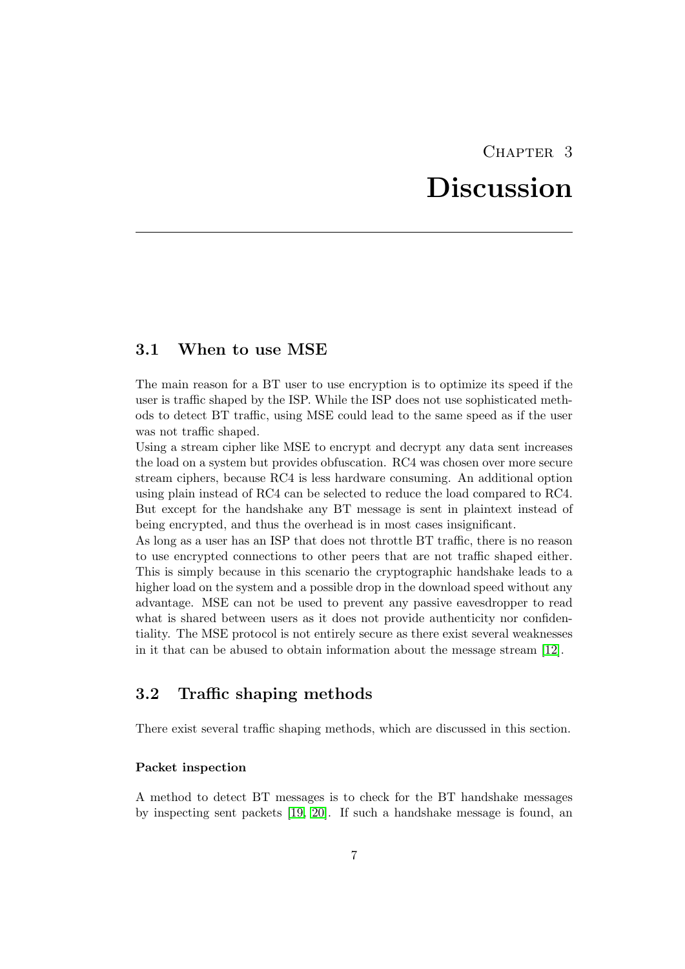# CHAPTER<sub>3</sub>

# Discussion

### <span id="page-9-1"></span><span id="page-9-0"></span>3.1 When to use MSE

The main reason for a BT user to use encryption is to optimize its speed if the user is traffic shaped by the ISP. While the ISP does not use sophisticated methods to detect BT traffic, using MSE could lead to the same speed as if the user was not traffic shaped.

Using a stream cipher like MSE to encrypt and decrypt any data sent increases the load on a system but provides obfuscation. RC4 was chosen over more secure stream ciphers, because RC4 is less hardware consuming. An additional option using plain instead of RC4 can be selected to reduce the load compared to RC4. But except for the handshake any BT message is sent in plaintext instead of being encrypted, and thus the overhead is in most cases insignificant.

As long as a user has an ISP that does not throttle BT traffic, there is no reason to use encrypted connections to other peers that are not traffic shaped either. This is simply because in this scenario the cryptographic handshake leads to a higher load on the system and a possible drop in the download speed without any advantage. MSE can not be used to prevent any passive eavesdropper to read what is shared between users as it does not provide authenticity nor confidentiality. The MSE protocol is not entirely secure as there exist several weaknesses in it that can be abused to obtain information about the message stream [\[12\]](#page-14-7).

## <span id="page-9-2"></span>3.2 Traffic shaping methods

There exist several traffic shaping methods, which are discussed in this section.

#### Packet inspection

A method to detect BT messages is to check for the BT handshake messages by inspecting sent packets [\[19,](#page-15-3) [20\]](#page-15-4). If such a handshake message is found, an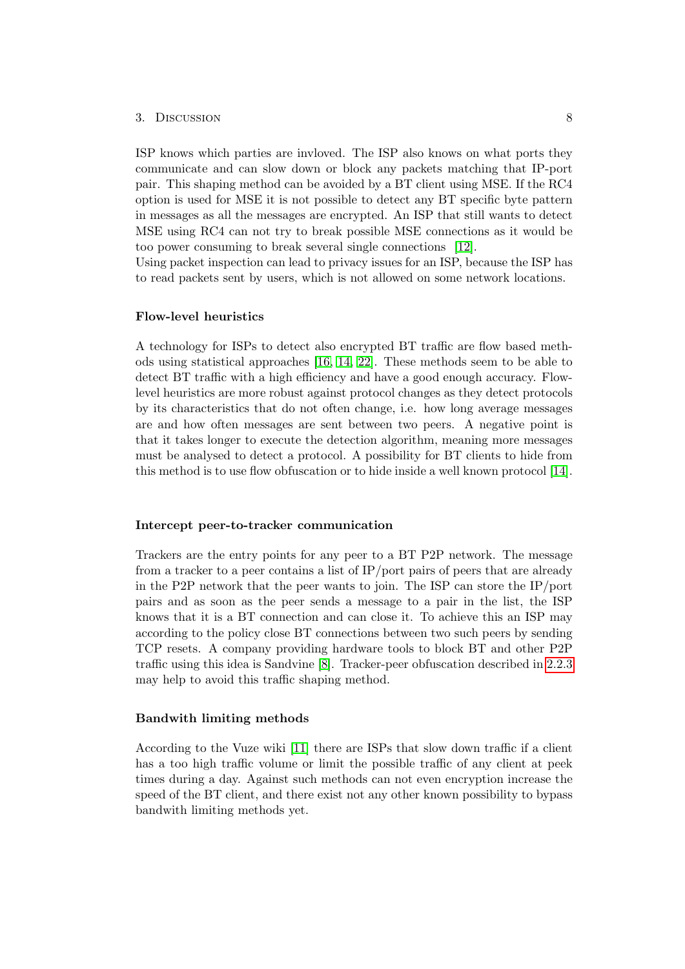#### 3. Discussion 8

ISP knows which parties are invloved. The ISP also knows on what ports they communicate and can slow down or block any packets matching that IP-port pair. This shaping method can be avoided by a BT client using MSE. If the RC4 option is used for MSE it is not possible to detect any BT specific byte pattern in messages as all the messages are encrypted. An ISP that still wants to detect MSE using RC4 can not try to break possible MSE connections as it would be too power consuming to break several single connections [\[12\]](#page-14-7).

Using packet inspection can lead to privacy issues for an ISP, because the ISP has to read packets sent by users, which is not allowed on some network locations.

#### Flow-level heuristics

A technology for ISPs to detect also encrypted BT traffic are flow based methods using statistical approaches [\[16,](#page-15-5) [14,](#page-14-8) [22\]](#page-15-6). These methods seem to be able to detect BT traffic with a high efficiency and have a good enough accuracy. Flowlevel heuristics are more robust against protocol changes as they detect protocols by its characteristics that do not often change, i.e. how long average messages are and how often messages are sent between two peers. A negative point is that it takes longer to execute the detection algorithm, meaning more messages must be analysed to detect a protocol. A possibility for BT clients to hide from this method is to use flow obfuscation or to hide inside a well known protocol [\[14\]](#page-14-8).

#### Intercept peer-to-tracker communication

Trackers are the entry points for any peer to a BT P2P network. The message from a tracker to a peer contains a list of IP/port pairs of peers that are already in the P2P network that the peer wants to join. The ISP can store the IP/port pairs and as soon as the peer sends a message to a pair in the list, the ISP knows that it is a BT connection and can close it. To achieve this an ISP may according to the policy close BT connections between two such peers by sending TCP resets. A company providing hardware tools to block BT and other P2P traffic using this idea is Sandvine [\[8\]](#page-14-9). Tracker-peer obfuscation described in [2.2.3](#page-8-0) may help to avoid this traffic shaping method.

#### Bandwith limiting methods

According to the Vuze wiki [\[11\]](#page-14-10) there are ISPs that slow down traffic if a client has a too high traffic volume or limit the possible traffic of any client at peek times during a day. Against such methods can not even encryption increase the speed of the BT client, and there exist not any other known possibility to bypass bandwith limiting methods yet.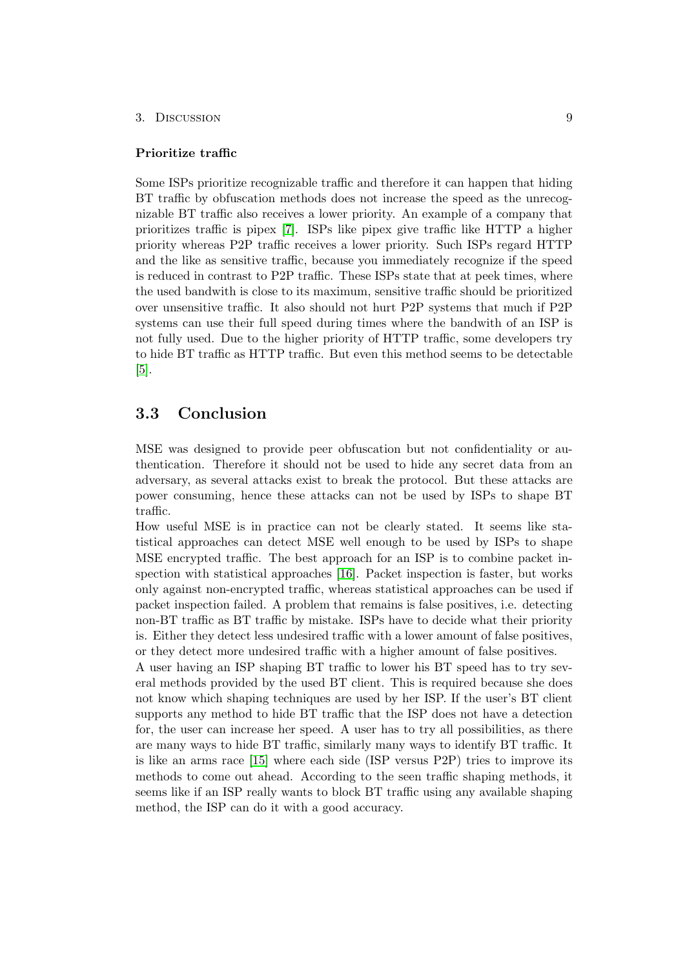#### 3. Discussion 9

#### Prioritize traffic

Some ISPs prioritize recognizable traffic and therefore it can happen that hiding BT traffic by obfuscation methods does not increase the speed as the unrecognizable BT traffic also receives a lower priority. An example of a company that prioritizes traffic is pipex [\[7\]](#page-14-11). ISPs like pipex give traffic like HTTP a higher priority whereas P2P traffic receives a lower priority. Such ISPs regard HTTP and the like as sensitive traffic, because you immediately recognize if the speed is reduced in contrast to P2P traffic. These ISPs state that at peek times, where the used bandwith is close to its maximum, sensitive traffic should be prioritized over unsensitive traffic. It also should not hurt P2P systems that much if P2P systems can use their full speed during times where the bandwith of an ISP is not fully used. Due to the higher priority of HTTP traffic, some developers try to hide BT traffic as HTTP traffic. But even this method seems to be detectable [\[5\]](#page-14-12).

### <span id="page-11-0"></span>3.3 Conclusion

MSE was designed to provide peer obfuscation but not confidentiality or authentication. Therefore it should not be used to hide any secret data from an adversary, as several attacks exist to break the protocol. But these attacks are power consuming, hence these attacks can not be used by ISPs to shape BT traffic.

How useful MSE is in practice can not be clearly stated. It seems like statistical approaches can detect MSE well enough to be used by ISPs to shape MSE encrypted traffic. The best approach for an ISP is to combine packet inspection with statistical approaches [\[16\]](#page-15-5). Packet inspection is faster, but works only against non-encrypted traffic, whereas statistical approaches can be used if packet inspection failed. A problem that remains is false positives, i.e. detecting non-BT traffic as BT traffic by mistake. ISPs have to decide what their priority is. Either they detect less undesired traffic with a lower amount of false positives, or they detect more undesired traffic with a higher amount of false positives.

A user having an ISP shaping BT traffic to lower his BT speed has to try several methods provided by the used BT client. This is required because she does not know which shaping techniques are used by her ISP. If the user's BT client supports any method to hide BT traffic that the ISP does not have a detection for, the user can increase her speed. A user has to try all possibilities, as there are many ways to hide BT traffic, similarly many ways to identify BT traffic. It is like an arms race [\[15\]](#page-15-7) where each side (ISP versus P2P) tries to improve its methods to come out ahead. According to the seen traffic shaping methods, it seems like if an ISP really wants to block BT traffic using any available shaping method, the ISP can do it with a good accuracy.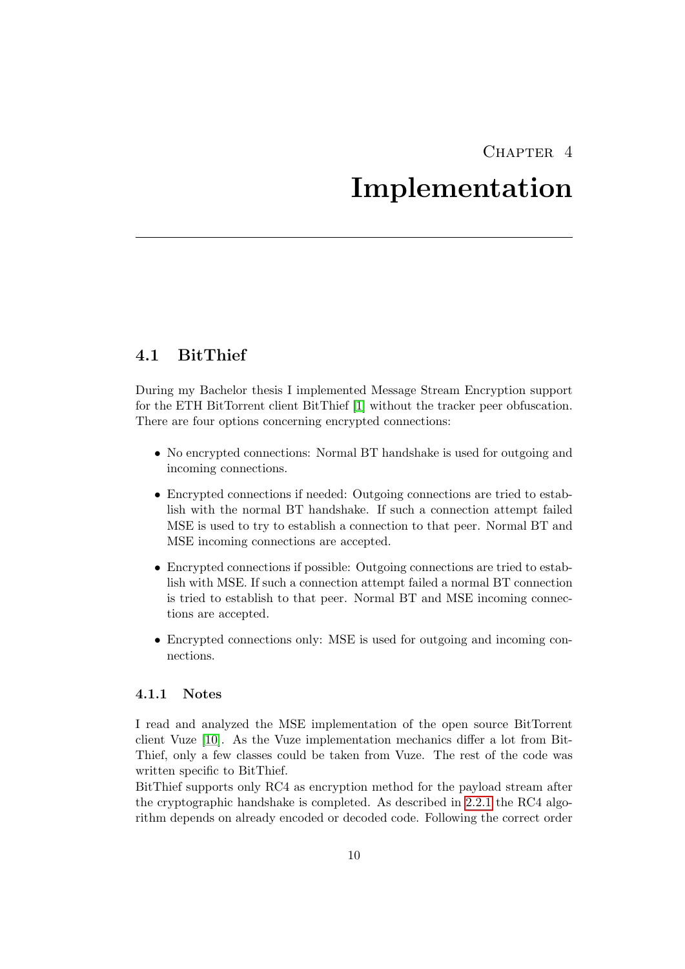## $CHAPTER$  4

## Implementation

## <span id="page-12-1"></span><span id="page-12-0"></span>4.1 BitThief

During my Bachelor thesis I implemented Message Stream Encryption support for the ETH BitTorrent client BitThief [\[1\]](#page-14-13) without the tracker peer obfuscation. There are four options concerning encrypted connections:

- No encrypted connections: Normal BT handshake is used for outgoing and incoming connections.
- Encrypted connections if needed: Outgoing connections are tried to establish with the normal BT handshake. If such a connection attempt failed MSE is used to try to establish a connection to that peer. Normal BT and MSE incoming connections are accepted.
- Encrypted connections if possible: Outgoing connections are tried to establish with MSE. If such a connection attempt failed a normal BT connection is tried to establish to that peer. Normal BT and MSE incoming connections are accepted.
- Encrypted connections only: MSE is used for outgoing and incoming connections.

#### <span id="page-12-2"></span>4.1.1 Notes

I read and analyzed the MSE implementation of the open source BitTorrent client Vuze [\[10\]](#page-14-14). As the Vuze implementation mechanics differ a lot from Bit-Thief, only a few classes could be taken from Vuze. The rest of the code was written specific to BitThief.

BitThief supports only RC4 as encryption method for the payload stream after the cryptographic handshake is completed. As described in [2.2.1](#page-5-0) the RC4 algorithm depends on already encoded or decoded code. Following the correct order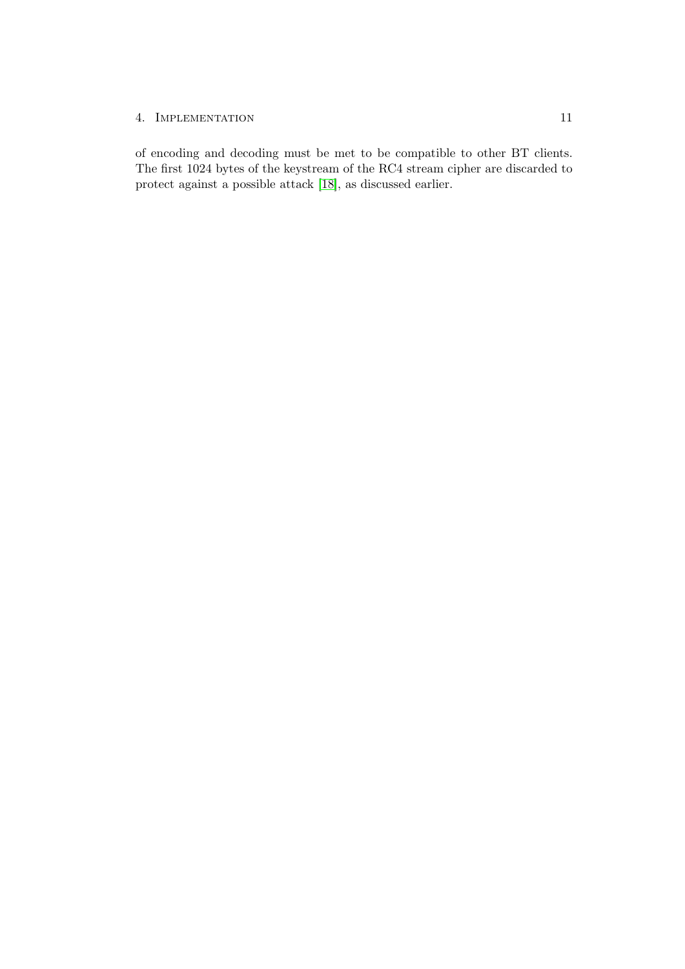#### 4. IMPLEMENTATION 11

of encoding and decoding must be met to be compatible to other BT clients. The first 1024 bytes of the keystream of the RC4 stream cipher are discarded to protect against a possible attack [\[18\]](#page-15-2), as discussed earlier.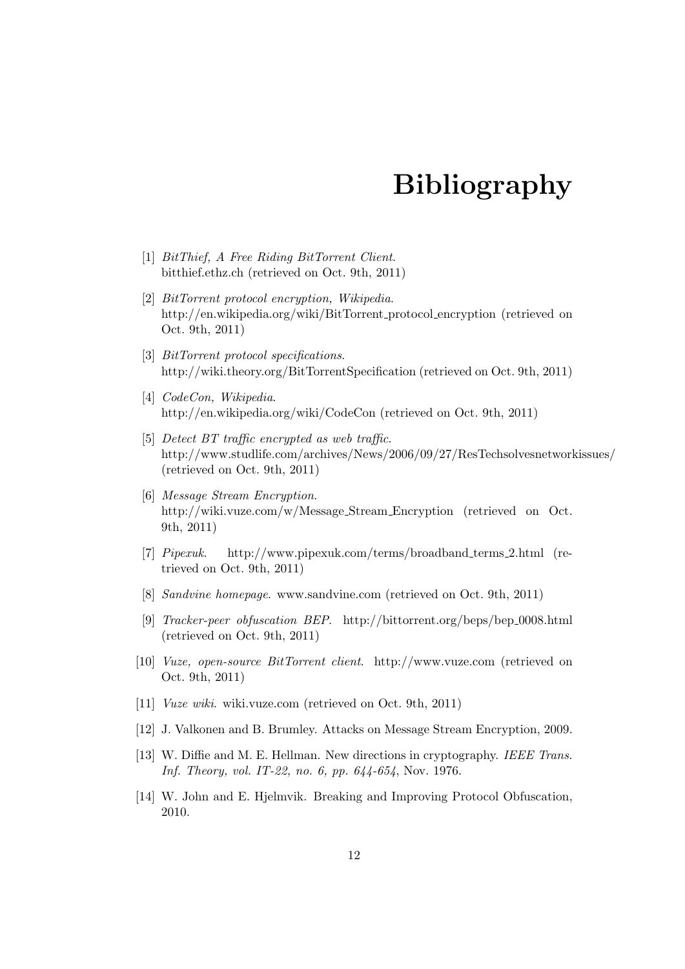# Bibliography

- <span id="page-14-13"></span><span id="page-14-0"></span>[1] BitThief, A Free Riding BitTorrent Client. bitthief.ethz.ch (retrieved on Oct. 9th, 2011)
- <span id="page-14-2"></span>[2] BitTorrent protocol encryption, Wikipedia. http://en.wikipedia.org/wiki/BitTorrent protocol encryption (retrieved on Oct. 9th, 2011)
- <span id="page-14-4"></span>[3] BitTorrent protocol specifications. http://wiki.theory.org/BitTorrentSpecification (retrieved on Oct. 9th, 2011)
- <span id="page-14-1"></span>[4] *CodeCon*, *Wikipedia.* http://en.wikipedia.org/wiki/CodeCon (retrieved on Oct. 9th, 2011)
- <span id="page-14-12"></span>[5] Detect BT traffic encrypted as web traffic. http://www.studlife.com/archives/News/2006/09/27/ResTechsolvesnetworkissues/ (retrieved on Oct. 9th, 2011)
- <span id="page-14-3"></span>[6] Message Stream Encryption. http://wiki.vuze.com/w/Message Stream Encryption (retrieved on Oct. 9th, 2011)
- <span id="page-14-11"></span>[7] Pipexuk. http://www.pipexuk.com/terms/broadband terms 2.html (retrieved on Oct. 9th, 2011)
- <span id="page-14-9"></span>[8] Sandvine homepage. www.sandvine.com (retrieved on Oct. 9th, 2011)
- <span id="page-14-6"></span>[9] Tracker-peer obfuscation BEP. http://bittorrent.org/beps/bep 0008.html (retrieved on Oct. 9th, 2011)
- <span id="page-14-14"></span>[10] Vuze, open-source BitTorrent client. http://www.vuze.com (retrieved on Oct. 9th, 2011)
- <span id="page-14-10"></span>[11] Vuze wiki. wiki.vuze.com (retrieved on Oct. 9th, 2011)
- <span id="page-14-7"></span>[12] J. Valkonen and B. Brumley. Attacks on Message Stream Encryption, 2009.
- <span id="page-14-5"></span>[13] W. Diffie and M. E. Hellman. New directions in cryptography. IEEE Trans. Inf. Theory, vol. IT-22, no. 6, pp. 644-654, Nov. 1976.
- <span id="page-14-8"></span>[14] W. John and E. Hjelmvik. Breaking and Improving Protocol Obfuscation, 2010.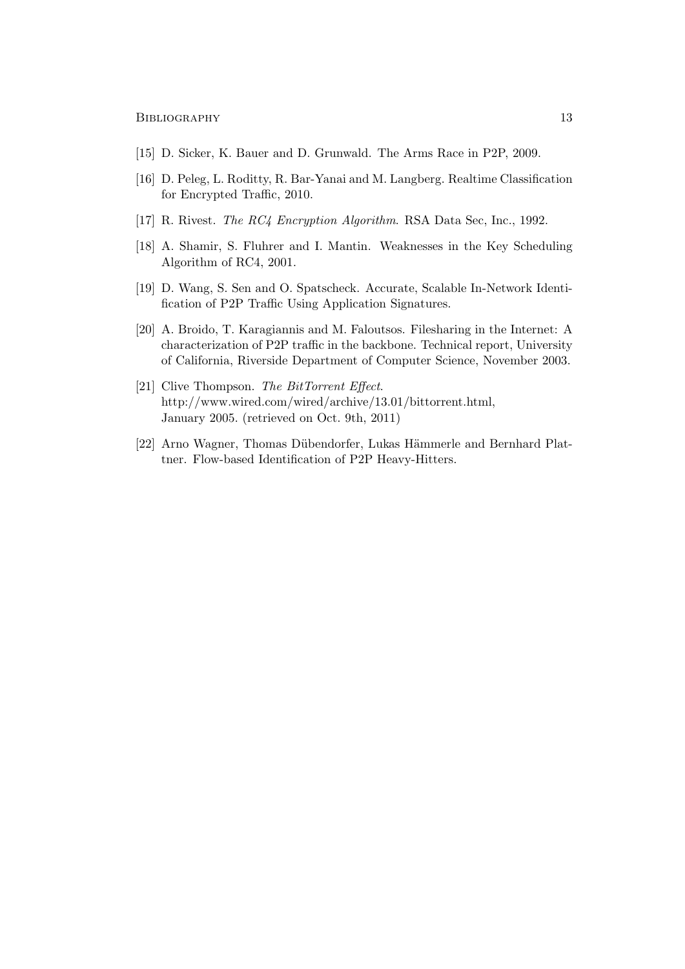BIBLIOGRAPHY 13

- <span id="page-15-7"></span>[15] D. Sicker, K. Bauer and D. Grunwald. The Arms Race in P2P, 2009.
- <span id="page-15-5"></span>[16] D. Peleg, L. Roditty, R. Bar-Yanai and M. Langberg. Realtime Classification for Encrypted Traffic, 2010.
- <span id="page-15-1"></span>[17] R. Rivest. *The RC4 Encryption Algorithm.* RSA Data Sec, Inc., 1992.
- <span id="page-15-2"></span>[18] A. Shamir, S. Fluhrer and I. Mantin. Weaknesses in the Key Scheduling Algorithm of RC4, 2001.
- <span id="page-15-3"></span>[19] D. Wang, S. Sen and O. Spatscheck. Accurate, Scalable In-Network Identification of P2P Traffic Using Application Signatures.
- <span id="page-15-4"></span>[20] A. Broido, T. Karagiannis and M. Faloutsos. Filesharing in the Internet: A characterization of P2P traffic in the backbone. Technical report, University of California, Riverside Department of Computer Science, November 2003.
- <span id="page-15-0"></span>[21] Clive Thompson. The BitTorrent Effect. http://www.wired.com/wired/archive/13.01/bittorrent.html, January 2005. (retrieved on Oct. 9th, 2011)
- <span id="page-15-6"></span>[22] Arno Wagner, Thomas Dübendorfer, Lukas Hämmerle and Bernhard Plattner. Flow-based Identification of P2P Heavy-Hitters.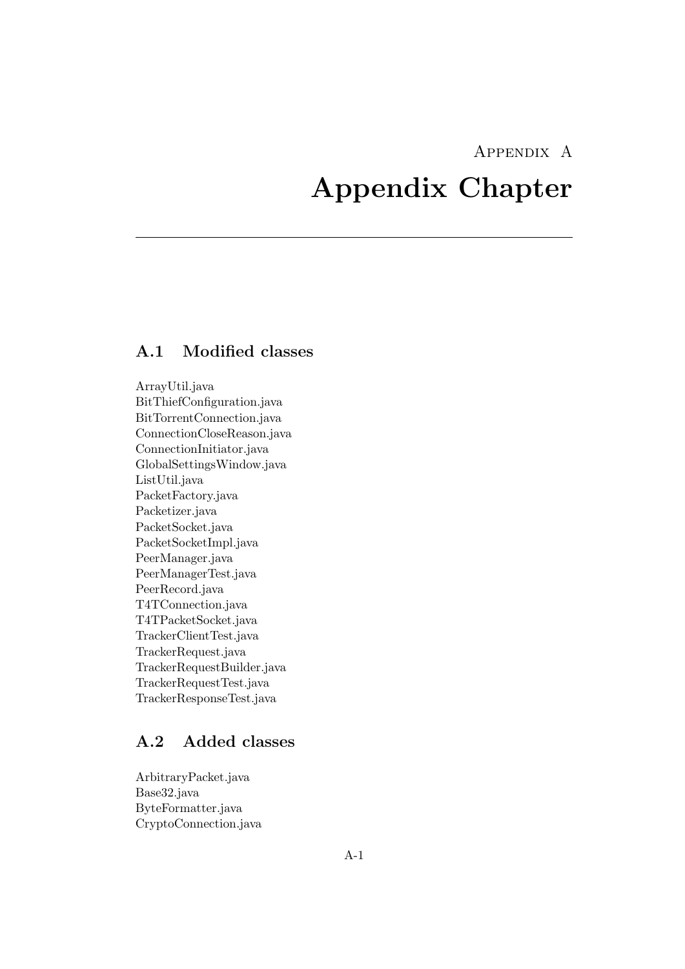## Appendix A

# <span id="page-16-0"></span>Appendix Chapter

## <span id="page-16-1"></span>A.1 Modified classes

ArrayUtil.java BitThiefConfiguration.java BitTorrentConnection.java ConnectionCloseReason.java ConnectionInitiator.java GlobalSettingsWindow.java ListUtil.java PacketFactory.java Packetizer.java PacketSocket.java PacketSocketImpl.java PeerManager.java PeerManagerTest.java PeerRecord.java T4TConnection.java T4TPacketSocket.java TrackerClientTest.java TrackerRequest.java TrackerRequestBuilder.java TrackerRequestTest.java TrackerResponseTest.java

## <span id="page-16-2"></span>A.2 Added classes

ArbitraryPacket.java Base32.java ByteFormatter.java CryptoConnection.java